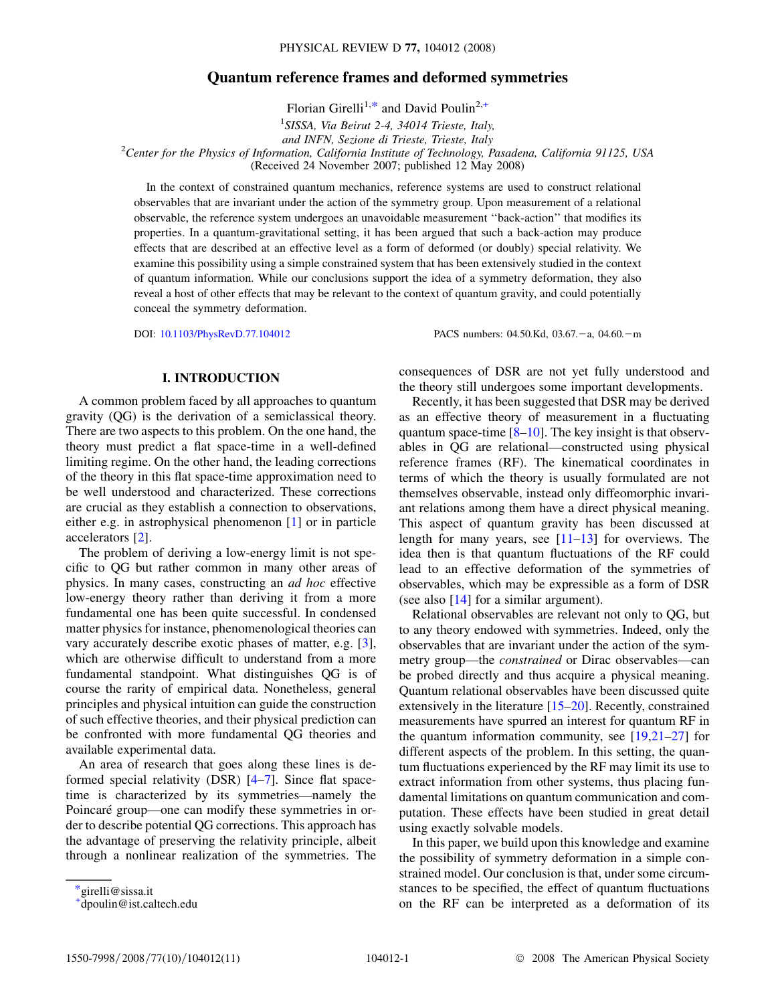# Quantum reference frames and deformed symmetries

Florian Girelli<sup>1,\*</sup> and David Poulin<sup>2,+</sup>

<sup>1</sup>SISSA, Via Beirut 2-4, 34014 Trieste, Italy, and INFN, Sezione di Trieste, Trieste, Italy<br>Center for the Physics of Information, California Institute of Technology, Pasadena, California 91125, USA<sup>2</sup> (Received 24 November 2007; published 12 May 2008)

In the context of constrained quantum mechanics, reference systems are used to construct relational observables that are invariant under the action of the symmetry group. Upon measurement of a relational observable, the reference system undergoes an unavoidable measurement ''back-action'' that modifies its properties. In a quantum-gravitational setting, it has been argued that such a back-action may produce effects that are described at an effective level as a form of deformed (or doubly) special relativity. We examine this possibility using a simple constrained system that has been extensively studied in the context of quantum information. While our conclusions support the idea of a symmetry deformation, they also reveal a host of other effects that may be relevant to the context of quantum gravity, and could potentially conceal the symmetry deformation.

DOI: [10.1103/PhysRevD.77.104012](http://dx.doi.org/10.1103/PhysRevD.77.104012) PACS numbers: 04.50.Kd, 03.67.-a, 04.60.-m

## I. INTRODUCTION

A common problem faced by all approaches to quantum gravity (QG) is the derivation of a semiclassical theory. There are two aspects to this problem. On the one hand, the theory must predict a flat space-time in a well-defined limiting regime. On the other hand, the leading corrections of the theory in this flat space-time approximation need to be well understood and characterized. These corrections are crucial as they establish a connection to observations, either e.g. in astrophysical phenomenon [1] or in particle accelerators [[2\]](#page-9-0).

The problem of deriving a low-energy limit is not specific to QG but rather common in many other areas of physics. In many cases, constructing an ad hoc effective low-energy theory rather than deriving it from a more fundamental one has been quite successful. In condensed matter physics for instance, phenomenological theories can vary accurately describe exotic phases of matter, e.g. [[3\]](#page-9-0), which are otherwise difficult to understand from a more fundamental standpoint. What distinguishes QG is of course the rarity of empirical data. Nonetheless, general principles and physical intuition can guide the construction of such effective theories, and their physical prediction can be confronted with more fundamental QG theories and available experimental data.

An area of research that goes along these lines is deformed special relativity (DSR) [\[4](#page-9-0)–[7\]](#page-9-0). Since flat spacetime is characterized by its symmetries—namely the Poincaré group—one can modify these symmetries in order to describe potential QG corrections. This approach has the advantage of preserving the relativity principle, albeit through a nonlinear realization of the symmetries. The consequences of DSR are not yet fully understood and the theory still undergoes some important developments.

Recently, it has been suggested that DSR may be derived as an effective theory of measurement in a fluctuating quantum space-time  $[8-10]$  $[8-10]$ . The key insight is that observables in QG are relational—constructed using physical reference frames (RF). The kinematical coordinates in terms of which the theory is usually formulated are not themselves observable, instead only diffeomorphic invariant relations among them have a direct physical meaning. This aspect of quantum gravity has been discussed at length for many years, see  $[11-13]$  for overviews. The idea then is that quantum fluctuations of the RF could lead to an effective deformation of the symmetries of observables, which may be expressible as a form of DSR (see also [14] for a similar argument).

Relational observables are relevant not only to QG, but to any theory endowed with symmetries. Indeed, only the observables that are invariant under the action of the symmetry group—the constrained or Dirac observables—can be probed directly and thus acquire a physical meaning. Quantum relational observables have been discussed quite extensively in the literature [15–[20](#page-10-0)]. Recently, constrained measurements have spurred an interest for quantum RF in the quantum information community, see [\[19,21–27](#page-10-0)] for different aspects of the problem. In this setting, the quantum fluctuations experienced by the RF may limit its use to extract information from other systems, thus placing fundamental limitations on quantum communication and computation. These effects have been studied in great detail using exactly solvable models.

In this paper, we build upon this knowledge and examine the possibility of symmetry deformation in a simple constrained model. Our conclusion is that, under some circumstances to be specified, the effect of quantum fluctuations on the RF can be interpreted as a deformation of its

<sup>\*</sup>girelli@sissa.it

<sup>+</sup> dpoulin@ist.caltech.edu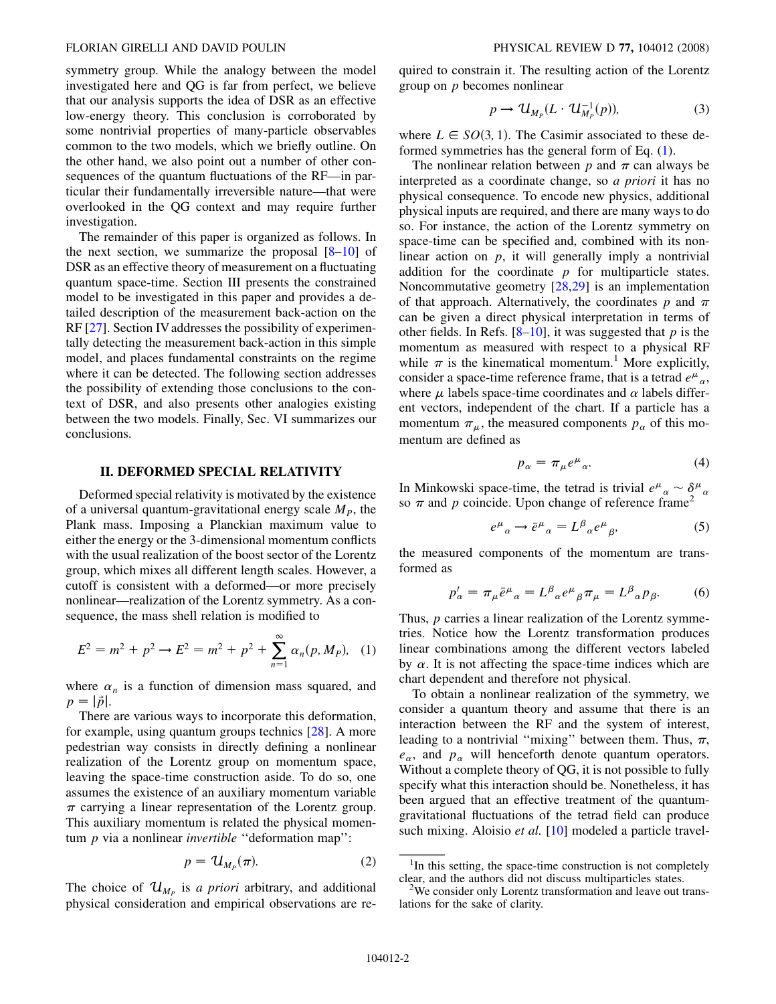symmetry group. While the analogy between the model investigated here and QG is far from perfect, we believe that our analysis supports the idea of DSR as an effective low-energy theory. This conclusion is corroborated by some nontrivial properties of many-particle observables common to the two models, which we briefly outline. On the other hand, we also point out a number of other consequences of the quantum fluctuations of the RF—in particular their fundamentally irreversible nature—that were overlooked in the QG context and may require further investigation.

The remainder of this paper is organized as follows. In the next section, we summarize the proposal  $[8-10]$  $[8-10]$  of DSR as an effective theory of measurement on a fluctuating quantum space-time. Section III presents the constrained model to be investigated in this paper and provides a detailed description of the measurement back-action on the RF [\[27\]](#page-10-0). Section IV addresses the possibility of experimentally detecting the measurement back-action in this simple model, and places fundamental constraints on the regime where it can be detected. The following section addresses the possibility of extending those conclusions to the context of DSR, and also presents other analogies existing between the two models. Finally, Sec. VI summarizes our conclusions.

## II. DEFORMED SPECIAL RELATIVITY

Deformed special relativity is motivated by the existence of a universal quantum-gravitational energy scale  $M_p$ , the Plank mass. Imposing a Planckian maximum value to either the energy or the 3-dimensional momentum conflicts with the usual realization of the boost sector of the Lorentz group, which mixes all different length scales. However, a cutoff is consistent with a deformed—or more precisely nonlinear—realization of the Lorentz symmetry. As a consequence, the mass shell relation is modified to

<span id="page-1-0"></span>
$$
E^{2} = m^{2} + p^{2} \rightarrow E^{2} = m^{2} + p^{2} + \sum_{n=1}^{\infty} \alpha_{n}(p, M_{P}), \quad (1)
$$

where  $\alpha_n$  is a function of dimension mass squared, and  $p=|\vec{p}|.$ 

There are various ways to incorporate this deformation, for example, using quantum groups technics [[28\]](#page-10-0). A more pedestrian way consists in directly defining a nonlinear realization of the Lorentz group on momentum space, leaving the space-time construction aside. To do so, one assumes the existence of an auxiliary momentum variable  $\pi$  carrying a linear representation of the Lorentz group. This auxiliary momentum is related the physical momentum  $p$  via a nonlinear *invertible* "deformation map":

$$
p = \mathcal{U}_{M_P}(\pi). \tag{2}
$$

The choice of  $\mathcal{U}_{M_p}$  is a priori arbitrary, and additional physical consideration and empirical observations are required to constrain it. The resulting action of the Lorentz group on p becomes nonlinear

$$
p \to \mathcal{U}_{M_p}(L \cdot \mathcal{U}_{M_p}^{-1}(p)), \tag{3}
$$

where  $L \in SO(3, 1)$ . The Casimir associated to these deformed symmetries has the general form of Eq. [\(1](#page-1-0)).

The nonlinear relation between p and  $\pi$  can always be interpreted as a coordinate change, so a priori it has no physical consequence. To encode new physics, additional physical inputs are required, and there are many ways to do so. For instance, the action of the Lorentz symmetry on space-time can be specified and, combined with its nonlinear action on  $p$ , it will generally imply a nontrivial addition for the coordinate  $p$  for multiparticle states. Noncommutative geometry [\[28,29\]](#page-10-0) is an implementation of that approach. Alternatively, the coordinates p and  $\pi$ can be given a direct physical interpretation in terms of other fields. In Refs.  $[8-10]$ , it was suggested that p is the momentum as measured with respect to a physical RF while  $\pi$  is the kinematical momentum.<sup>1</sup> More explicitly, consider a space-time reference frame, that is a tetrad  $e^{\mu}{}_{\alpha}$ , where  $\mu$  labels space-time coordinates and  $\alpha$  labels different vectors, independent of the chart. If a particle has a momentum  $\pi_{\mu}$ , the measured components  $p_{\alpha}$  of this momentum are defined as

$$
p_{\alpha} = \pi_{\mu} e^{\mu}{}_{\alpha}.
$$
 (4)

In Minkowski space-time, the tetrad is trivial  $e^{\mu}{}_{\alpha} \sim \delta^{\mu}{}_{\alpha}$ so  $\pi$  and p coincide. Upon change of reference frame<sup>2</sup>

$$
e^{\mu}{}_{\alpha} \to \bar{e}^{\mu}{}_{\alpha} = L^{\beta}{}_{\alpha} e^{\mu}{}_{\beta},\tag{5}
$$

the measured components of the momentum are transformed as

$$
p'_{\alpha} = \pi_{\mu}\bar{e}^{\mu}{}_{\alpha} = L^{\beta}{}_{\alpha}e^{\mu}{}_{\beta}\pi_{\mu} = L^{\beta}{}_{\alpha}p_{\beta}.
$$
 (6)

Thus, p carries a linear realization of the Lorentz symmetries. Notice how the Lorentz transformation produces linear combinations among the different vectors labeled by  $\alpha$ . It is not affecting the space-time indices which are chart dependent and therefore not physical.

To obtain a nonlinear realization of the symmetry, we consider a quantum theory and assume that there is an interaction between the RF and the system of interest, leading to a nontrivial "mixing" between them. Thus,  $\pi$ ,  $e_{\alpha}$ , and  $p_{\alpha}$  will henceforth denote quantum operators. Without a complete theory of QG, it is not possible to fully specify what this interaction should be. Nonetheless, it has been argued that an effective treatment of the quantumgravitational fluctuations of the tetrad field can produce such mixing. Aloisio et al. [10] modeled a particle travel-

<sup>&</sup>lt;sup>1</sup>In this setting, the space-time construction is not completely clear, and the authors did not discuss multiparticles states. <sup>2</sup>

 $W<sup>2</sup>$ We consider only Lorentz transformation and leave out translations for the sake of clarity.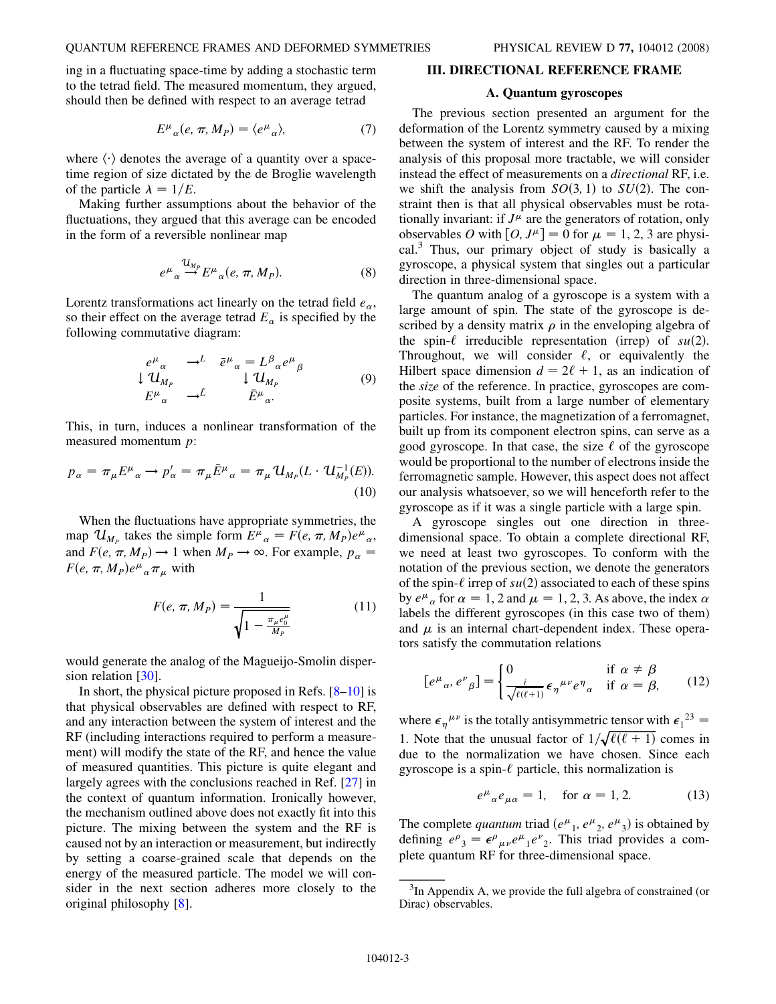<span id="page-2-0"></span>ing in a fluctuating space-time by adding a stochastic term to the tetrad field. The measured momentum, they argued, should then be defined with respect to an average tetrad

$$
E^{\mu}{}_{\alpha}(e,\pi,M_P) = \langle e^{\mu}{}_{\alpha}\rangle, \tag{7}
$$

where  $\langle \cdot \rangle$  denotes the average of a quantity over a space-<br>time region of size dictated by the de Broglie wavelength time region of size dictated by the de Broglie wavelength of the particle  $\lambda = 1/E$ .

Making further assumptions about the behavior of the fluctuations, they argued that this average can be encoded in the form of a reversible nonlinear map

$$
e^{\mu}{}_{\alpha} \stackrel{\mathcal{U}_{M_p}}{\rightarrow} E^{\mu}{}_{\alpha}(e, \pi, M_P). \tag{8}
$$

Lorentz transformations act linearly on the tetrad field  $e_{\alpha}$ , so their effect on the average tetrad  $E_{\alpha}$  is specified by the following commutative diagram:

$$
\begin{array}{ccc}\ne^{\mu}{}_{\alpha} & \to^{L} & \bar{e}^{\mu}{}_{\alpha} = L^{\beta}{}_{\alpha}e^{\mu}{}_{\beta} \\
\downarrow \mathcal{U}_{M_{P}} & \downarrow \mathcal{U}_{M_{P}} & \\
E^{\mu}{}_{\alpha} & \to^{\tilde{L}} & \bar{E}^{\mu}{}_{\alpha}.\n\end{array} \tag{9}
$$

This, in turn, induces a nonlinear transformation of the measured momentum p:

$$
p_{\alpha} = \pi_{\mu} E^{\mu}{}_{\alpha} \rightarrow p'_{\alpha} = \pi_{\mu} \bar{E}^{\mu}{}_{\alpha} = \pi_{\mu} \mathcal{U}_{M_P}(L \cdot \mathcal{U}_{M_P}^{-1}(E)).
$$
\n(10)

When the fluctuations have appropriate symmetries, the map  $\mathcal{U}_{M_p}$  takes the simple form  $E^{\mu}_{\alpha} = F(e, \pi, M_p)e^{\mu}_{\alpha}$ ,<br>and  $F(e, \pi, M) \rightarrow 1$  when  $M \rightarrow \infty$ . For example,  $n =$ and  $F(e, \pi, M_P) \to 1$  when  $M_P \to \infty$ . For example,  $p_\alpha = F(e, \pi, M_P) e^{\mu} \pi$ , with  $F(e, \pi, M_P)e^{\mu}{}_{\alpha} \pi_{\mu}$  with

$$
F(e, \pi, M_P) = \frac{1}{\sqrt{1 - \frac{\pi_\mu e_0^\mu}{M_P}}}
$$
(11)

would generate the analog of the Magueijo-Smolin disper-sion relation [\[30](#page-10-0)].

In short, the physical picture proposed in Refs.  $[8-10]$  $[8-10]$  is that physical observables are defined with respect to RF, and any interaction between the system of interest and the RF (including interactions required to perform a measurement) will modify the state of the RF, and hence the value of measured quantities. This picture is quite elegant and largely agrees with the conclusions reached in Ref. [\[27\]](#page-10-0) in the context of quantum information. Ironically however, the mechanism outlined above does not exactly fit into this picture. The mixing between the system and the RF is caused not by an interaction or measurement, but indirectly by setting a coarse-grained scale that depends on the energy of the measured particle. The model we will consider in the next section adheres more closely to the original philosophy [[8\]](#page-9-0).

## III. DIRECTIONAL REFERENCE FRAME

#### A. Quantum gyroscopes

The previous section presented an argument for the deformation of the Lorentz symmetry caused by a mixing between the system of interest and the RF. To render the analysis of this proposal more tractable, we will consider instead the effect of measurements on a directional RF, i.e. we shift the analysis from  $SO(3, 1)$  to  $SU(2)$ . The constraint then is that all physical observables must be rotationally invariant: if  $J^{\mu}$  are the generators of rotation, only observables O with  $[0, J^{\mu}] = 0$  for  $\mu = 1, 2, 3$  are physical. $3$  Thus, our primary object of study is basically a gyroscope, a physical system that singles out a particular direction in three-dimensional space.

The quantum analog of a gyroscope is a system with a large amount of spin. The state of the gyroscope is described by a density matrix  $\rho$  in the enveloping algebra of the spin- $\ell$  irreducible representation (irrep) of  $su(2)$ . Throughout, we will consider  $\ell$ , or equivalently the Hilbert space dimension  $d = 2\ell + 1$ , as an indication of the size of the reference. In practice, gyroscopes are composite systems, built from a large number of elementary particles. For instance, the magnetization of a ferromagnet, built up from its component electron spins, can serve as a good gyroscope. In that case, the size  $\ell$  of the gyroscope would be proportional to the number of electrons inside the ferromagnetic sample. However, this aspect does not affect our analysis whatsoever, so we will henceforth refer to the gyroscope as if it was a single particle with a large spin.

A gyroscope singles out one direction in threedimensional space. To obtain a complete directional RF, we need at least two gyroscopes. To conform with the notation of the previous section, we denote the generators of the spin- $\ell$  irrep of su(2) associated to each of these spins by  $e^{\mu}{}_{\alpha}$  for  $\alpha = 1, 2$  and  $\mu = 1, 2, 3$ . As above, the index  $\alpha$ labels the different gyroscopes (in this case two of them) and  $\mu$  is an internal chart-dependent index. These operators satisfy the commutation relations

$$
[e^{\mu}{}_{\alpha}, e^{\nu}{}_{\beta}] = \begin{cases} 0 & \text{if } \alpha \neq \beta \\ \frac{i}{\sqrt{\ell(\ell+1)}} \epsilon_{\eta}{}^{\mu\nu} e^{\eta}{}_{\alpha} & \text{if } \alpha = \beta, \end{cases} \tag{12}
$$

where  $\epsilon_{\eta}^{\mu\nu}$  is the totally antisymmetric tensor with  $\epsilon_1^{23}$ 1. Note that the unusual factor of  $1/\sqrt{\ell(\ell+1)}$  comes in due to the normalization we have chosen. Since each due to the normalization we have chosen. Since each gyroscope is a spin- $\ell$  particle, this normalization is

$$
e^{\mu}{}_{\alpha}e_{\mu\alpha} = 1, \quad \text{for } \alpha = 1, 2. \tag{13}
$$

The complete *quantum* triad  $(e^{\mu_1}, e^{\mu_2}, e^{\mu_3})$  is obtained by<br>defining  $e^{\rho} = \epsilon^{\rho} e^{\mu} e^{\nu}$ . This triad provides a comdefining  $e^{\rho}{}_{3} = \epsilon^{\rho}{}_{\mu\nu} e^{\mu}{}_{1} e^{\nu}{}_{2}$ . This triad provides a complete quantum RF for three-dimensional space.

 $3$ In Appendix A, we provide the full algebra of constrained (or Dirac) observables.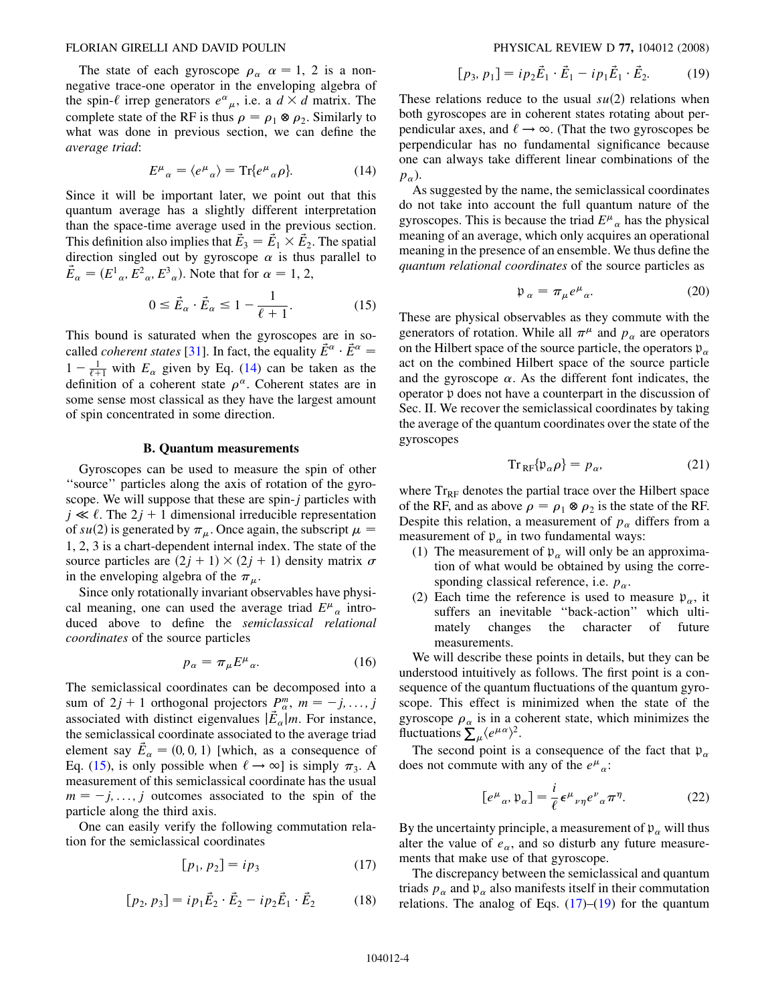<span id="page-3-0"></span>The state of each gyroscope  $\rho_{\alpha}$   $\alpha = 1, 2$  is a nonnegative trace-one operator in the enveloping algebra of the spin- $\ell$  irrep generators  $e^{\alpha}{}_{\mu}$ , i.e. a  $d \times d$  matrix. The complete state of the RE is thus  $\rho = \rho \otimes \rho$ . Similarly to complete state of the RF is thus  $\rho = \rho_1 \otimes \rho_2$ . Similarly to what was done in previous section, we can define the average triad:

$$
E^{\mu}{}_{\alpha} = \langle e^{\mu}{}_{\alpha} \rangle = \text{Tr}\{e^{\mu}{}_{\alpha}\rho\}.
$$
 (14)

Since it will be important later, we point out that this quantum average has a slightly different interpretation than the space-time average used in the previous section. This definition also implies that  $\vec{E}_3 = \vec{E}_1 \times \vec{E}_2$ . The spatial direction singled out by gyroscope  $\alpha$  is thus parallel to direction singled out by gyroscope  $\alpha$  is thus parallel to  $\vec{E}_{\alpha} = (E^1_{\alpha}, E^2_{\alpha}, E^3_{\alpha})$ . Note that for  $\alpha = 1, 2,$ 

$$
0 \le \vec{E}_{\alpha} \cdot \vec{E}_{\alpha} \le 1 - \frac{1}{\ell + 1}.\tag{15}
$$

This bound is saturated when the gyroscopes are in socalled *coherent states* [[31](#page-10-0)]. In fact, the equality  $\vec{E}^{\alpha} \cdot \vec{E}^{\alpha} =$ <br>1 –  $\frac{1}{\sqrt{2}}$  with *E* given by Eq. (14) can be taken as the  $1 - \frac{1}{\ell+1}$  with  $E_{\alpha}$  given by Eq. (14) can be taken as the definition of a coherent state  $\rho^{\alpha}$ . Coherent states are in definition of a coherent state  $\rho^{\alpha}$ . Coherent states are in some sense most classical as they have the largest amount of spin concentrated in some direction.

## B. Quantum measurements

Gyroscopes can be used to measure the spin of other ''source'' particles along the axis of rotation of the gyroscope. We will suppose that these are spin-j particles with  $j \ll \ell$ . The 2 $j + 1$  dimensional irreducible representation of su(2) is generated by  $\pi_{\mu}$ . Once again, the subscript  $\mu =$ <br>1.2.3 is a chart dependent internal index. The state of the 1, 2, 3 is a chart-dependent internal index. The state of the source particles are  $(2j + 1) \times (2j + 1)$  density matrix  $\sigma$ in the enveloping algebra of the  $\pi_{\mu}$ .

Since only rotationally invariant observables have physical meaning, one can used the average triad  $E^{\mu}{}_{\alpha}$  introduced above to define the semiclassical relational coordinates of the source particles

$$
p_{\alpha} = \pi_{\mu} E^{\mu}{}_{\alpha}.
$$
 (16)

The semiclassical coordinates can be decomposed into a sum of  $2j + 1$  orthogonal projectors  $P_{\alpha}^{m}$ ,  $m = -j, ..., j$ <br>associated with distinct eigenvalues  $|\vec{F}|$  in For instance associated with distinct eigenvalues  $|\vec{E}_{\alpha}|m$ . For instance, the semiclassical coordinate associated to the average triad element say  $\vec{E}_{\alpha} = (0, 0, 1)$  [which, as a consequence of  $F_{\alpha}$  (15) is only possible when  $\ell \rightarrow \infty$ ] is simply  $\pi_{\alpha}$ . Eq. (15), is only possible when  $\ell \to \infty$  is simply  $\pi_3$ . A measurement of this semiclassical coordinate has the usual measurement of this semiclassical coordinate has the usual  $m = -j, \ldots, j$  outcomes associated to the spin of the particle along the third axis.

One can easily verify the following commutation relation for the semiclassical coordinates

$$
[p_1, p_2] = ip_3 \tag{17}
$$

$$
[p_2, p_3] = ip_1 \vec{E}_2 \cdot \vec{E}_2 - ip_2 \vec{E}_1 \cdot \vec{E}_2 \tag{18}
$$

$$
[p_3, p_1] = ip_2 \vec{E}_1 \cdot \vec{E}_1 - ip_1 \vec{E}_1 \cdot \vec{E}_2.
$$
 (19)

These relations reduce to the usual  $su(2)$  relations when both gyroscopes are in coherent states rotating about perpendicular axes, and  $\ell \rightarrow \infty$ . (That the two gyroscopes be perpendicular has no fundamental significance because one can always take different linear combinations of the  $p_{\alpha}$ ).

As suggested by the name, the semiclassical coordinates do not take into account the full quantum nature of the gyroscopes. This is because the triad  $E^{\mu}{}_{\alpha}$  has the physical meaning of an average, which only acquires an operational meaning in the presence of an ensemble. We thus define the quantum relational coordinates of the source particles as

$$
\mathfrak{p}_{\alpha} = \pi_{\mu} e^{\mu}{}_{\alpha}.
$$
 (20)

These are physical observables as they commute with the generators of rotation. While all  $\pi^{\mu}$  and  $p_{\alpha}$  are operators on the Hilbert space of the source particle, the operators  $p_{\alpha}$ act on the combined Hilbert space of the source particle and the gyroscope  $\alpha$ . As the different font indicates, the operator p does not have a counterpart in the discussion of Sec. II. We recover the semiclassical coordinates by taking the average of the quantum coordinates over the state of the gyroscopes

$$
\operatorname{Tr}_{\mathrm{RF}}\{\mathfrak{p}_{\alpha}\rho\}=p_{\alpha},\tag{21}
$$

where  $Tr_{RF}$  denotes the partial trace over the Hilbert space of the RF, and as above  $\rho = \rho_1 \otimes \rho_2$  is the state of the RF. Despite this relation, a measurement of  $p_{\alpha}$  differs from a measurement of  $p_{\alpha}$  in two fundamental ways:

- (1) The measurement of  $p_{\alpha}$  will only be an approximation of what would be obtained by using the corresponding classical reference, i.e.  $p_{\alpha}$ .
- (2) Each time the reference is used to measure  $p_{\alpha}$ , it suffers an inevitable ''back-action'' which ultimately changes the character of future measurements.

We will describe these points in details, but they can be understood intuitively as follows. The first point is a consequence of the quantum fluctuations of the quantum gyroscope. This effect is minimized when the state of the gyroscope  $\rho_{\alpha}$  is in a coherent state, which minimizes the fluctuations  $\sum_{\mu}^{\infty} \langle e^{\mu \alpha} \rangle^2$ .<br>The second point is

The second point is a consequence of the fact that  $p_{\alpha}$ does not commute with any of the  $e^{\mu}_{\alpha}$ :

$$
[e^{\mu}{}_{\alpha}, \mathfrak{p}_{\alpha}] = \frac{i}{\ell} \epsilon^{\mu}{}_{\nu\eta} e^{\nu}{}_{\alpha} \pi^{\eta}.
$$
 (22)

By the uncertainty principle, a measurement of  $p_{\alpha}$  will thus alter the value of  $e_{\alpha}$ , and so disturb any future measurements that make use of that gyroscope.

The discrepancy between the semiclassical and quantum triads  $p_{\alpha}$  and  $p_{\alpha}$  also manifests itself in their commutation relations. The analog of Eqs.  $(17)$ – $(19)$  for the quantum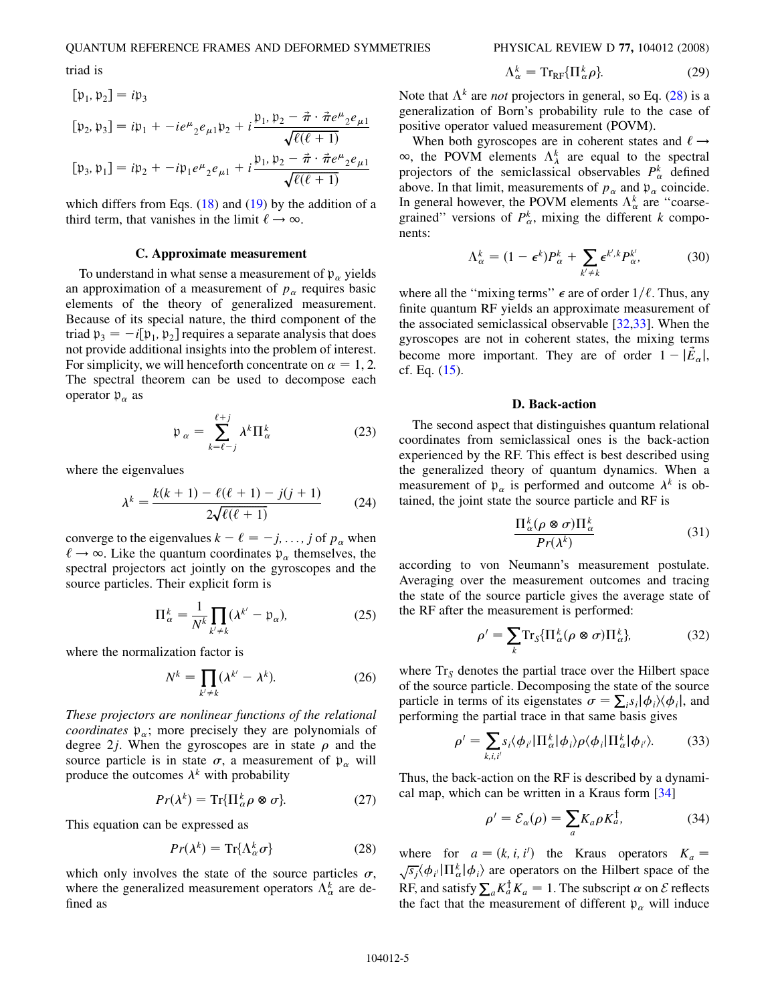<span id="page-4-0"></span>triad is

$$
[\mathfrak{p}_1, \mathfrak{p}_2] = i\mathfrak{p}_3
$$
  
\n
$$
[\mathfrak{p}_2, \mathfrak{p}_3] = i\mathfrak{p}_1 + -ie^{\mu}{}_2e_{\mu 1}\mathfrak{p}_2 + i\frac{\mathfrak{p}_1, \mathfrak{p}_2 - \vec{\pi} \cdot \vec{\pi} e^{\mu}{}_2e_{\mu 1}}{\sqrt{\ell(\ell+1)}}
$$
  
\n
$$
[\mathfrak{p}_3, \mathfrak{p}_1] = i\mathfrak{p}_2 + -i\mathfrak{p}_1 e^{\mu}{}_2e_{\mu 1} + i\frac{\mathfrak{p}_1, \mathfrak{p}_2 - \vec{\pi} \cdot \vec{\pi} e^{\mu}{}_2e_{\mu 1}}{\sqrt{\ell(\ell+1)}}
$$

which differs from Eqs.  $(18)$  $(18)$  $(18)$  and  $(19)$  by the addition of a third term, that vanishes in the limit  $\ell \rightarrow \infty$ .

#### C. Approximate measurement

To understand in what sense a measurement of  $p_{\alpha}$  yields an approximation of a measurement of  $p_\alpha$  requires basic elements of the theory of generalized measurement. Because of its special nature, the third component of the triad  $p_3 = -i[p_1, p_2]$  requires a separate analysis that does not provide additional insights into the problem of interest. For simplicity, we will henceforth concentrate on  $\alpha = 1, 2$ . The spectral theorem can be used to decompose each operator  $p_{\alpha}$  as

$$
\mathfrak{p}_{\alpha} = \sum_{k=\ell-j}^{\ell+j} \lambda^k \Pi_{\alpha}^k \tag{23}
$$

where the eigenvalues

$$
\lambda^{k} = \frac{k(k+1) - \ell(\ell+1) - j(j+1)}{2\sqrt{\ell(\ell+1)}}\tag{24}
$$

converge to the eigenvalues  $k - \ell = -j, \ldots, j$  of  $p_{\alpha}$  when  $\ell \rightarrow \infty$ . Like the quantum coordinates  $p_{\alpha}$  themselves, the spectral projectors act jointly on the gyroscopes and the source particles. Their explicit form is

$$
\Pi_{\alpha}^{k} = \frac{1}{N^{k}} \prod_{k' \neq k} (\lambda^{k'} - \mathfrak{p}_{\alpha}), \tag{25}
$$

where the normalization factor is

$$
N^k = \prod_{k' \neq k} (\lambda^{k'} - \lambda^k). \tag{26}
$$

These projectors are nonlinear functions of the relational *coordinates*  $\mathfrak{p}_{\alpha}$ ; more precisely they are polynomials of degree 2*j*. When the gyroscopes are in state  $\rho$  and the source particle is in state  $\sigma$ , a measurement of  $p_{\alpha}$  will produce the outcomes  $\lambda^k$  with probability

$$
Pr(\lambda^k) = \operatorname{Tr}\{\Pi^k_{\alpha}\rho \otimes \sigma\}.
$$
 (27)

This equation can be expressed as

$$
Pr(\lambda^k) = \text{Tr}\{\Lambda^k_{\alpha}\sigma\} \tag{28}
$$

which only involves the state of the source particles  $\sigma$ , where the generalized measurement operators  $\Lambda_{\alpha}^{k}$  are defined as

 $\Lambda_{\alpha}^{k} = \mathrm{Tr}_{\mathrm{RF}} \{ \Pi_{\alpha}^{k}$  ${}_{\alpha}^{k}\rho$ . (29) Note that  $\Lambda^k$  are *not* projectors in general, so Eq. (28) is a generalization of Born's probability rule to the case of positive operator valued measurement (POVM).

When both gyroscopes are in coherent states and  $\ell \rightarrow$  $\infty$ , the POVM elements  $\Lambda_{\lambda}^{k}$  are equal to the spectral<br>projectors of the semiclassical observables  $P^{k}$  defined projectors of the semiclassical observables  $P^k_{\alpha}$  defined above. In that limit, measurements of  $p_\alpha$  and  $p_\alpha$  coincide. In general however, the POVM elements  $\Lambda_{\alpha}^{k}$  are "coarsegrained" versions of  $P_{\alpha}^{k}$ , mixing the different k components:

$$
\Lambda_{\alpha}^{k} = (1 - \epsilon^{k}) P_{\alpha}^{k} + \sum_{k' \neq k} \epsilon^{k',k} P_{\alpha}^{k'} , \qquad (30)
$$

where all the "mixing terms"  $\epsilon$  are of order  $1/\ell$ . Thus, any finite quantum RF yields an approximate measurement of the associated semiclassical observable [[32](#page-10-0),[33](#page-10-0)]. When the gyroscopes are not in coherent states, the mixing terms become more important. They are of order  $1 - |\vec{E}_{\alpha}|$ ,<br>cf Eq. (15) cf. Eq. ([15\)](#page-3-0).

## D. Back-action

The second aspect that distinguishes quantum relational coordinates from semiclassical ones is the back-action experienced by the RF. This effect is best described using the generalized theory of quantum dynamics. When a measurement of  $p_{\alpha}$  is performed and outcome  $\lambda^{k}$  is obtained, the joint state the source particle and RF is

$$
\frac{\Pi_{\alpha}^{k}(\rho \otimes \sigma)\Pi_{\alpha}^{k}}{Pr(\lambda^{k})}
$$
\n(31)

according to von Neumann's measurement postulate. Averaging over the measurement outcomes and tracing the state of the source particle gives the average state of the RF after the measurement is performed:

$$
\rho' = \sum_{k} \text{Tr}_{S} \{ \Pi_{\alpha}^{k} (\rho \otimes \sigma) \Pi_{\alpha}^{k} \}, \tag{32}
$$

where  $Tr<sub>S</sub>$  denotes the partial trace over the Hilbert space of the source particle. Decomposing the state of the source particle in terms of its eigenstates  $\sigma = \sum_i s_i |\phi_i\rangle\langle\phi_i|$ , and performing the partial trace in that same basis gives performing the partial trace in that same basis gives

$$
\rho' = \sum_{k,i,i'} s_i \langle \phi_{i'} | \Pi_{\alpha}^k | \phi_i \rangle \rho \langle \phi_i | \Pi_{\alpha}^k | \phi_{i'} \rangle. \tag{33}
$$

Thus, the back-action on the RF is described by a dynamical map, which can be written in a Kraus form [[34\]](#page-10-0)

$$
\rho' = \mathcal{E}_{\alpha}(\rho) = \sum_{a} K_{a}\rho K_{a}^{\dagger}, \tag{34}
$$

where for  $a = (k, i, i')$  the Kraus operators  $K_a =$ where for  $a = (k, i, i')$  the Kraus operators  $K_a = \sqrt{s_j} \langle \phi_{i'} | \Pi_{\alpha}^k | \phi_i \rangle$  are operators on the Hilbert space of the RF, and satisfy  $\sum_a K_a^{\dagger} K_a = 1$ . The subscript  $\alpha$  on  $\mathcal E$  reflects the fact that the measurement of different n will induce the fact that the measurement of different  $p_{\alpha}$  will induce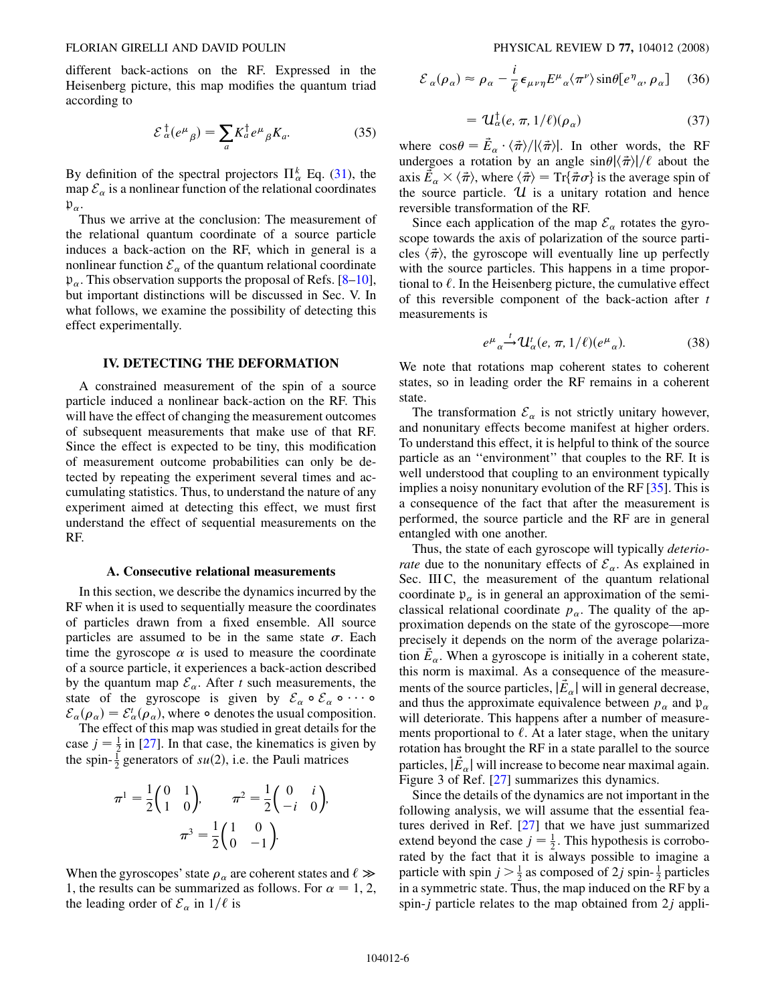<span id="page-5-0"></span>different back-actions on the RF. Expressed in the Heisenberg picture, this map modifies the quantum triad according to

$$
\mathcal{E}_{\alpha}^{\dagger}(e^{\mu}{}_{\beta}) = \sum_{a} K_{a}^{\dagger} e^{\mu}{}_{\beta} K_{a}.
$$
 (35)

By definition of the spectral projectors  $\prod_{\alpha}^{k}$  Eq. ([31](#page-4-0)), the map  $\mathcal{E}_{\alpha}$  is a nonlinear function of the relational coordinates  $\mathfrak{p}_{\alpha}$ .

Thus we arrive at the conclusion: The measurement of the relational quantum coordinate of a source particle induces a back-action on the RF, which in general is a nonlinear function  $\mathcal{E}_{\alpha}$  of the quantum relational coordinate  $p_{\alpha}$ . This observation supports the proposal of Refs. [\[8](#page-9-0)–10], but important distinctions will be discussed in Sec. V. In what follows, we examine the possibility of detecting this effect experimentally.

## IV. DETECTING THE DEFORMATION

A constrained measurement of the spin of a source particle induced a nonlinear back-action on the RF. This will have the effect of changing the measurement outcomes of subsequent measurements that make use of that RF. Since the effect is expected to be tiny, this modification of measurement outcome probabilities can only be detected by repeating the experiment several times and accumulating statistics. Thus, to understand the nature of any experiment aimed at detecting this effect, we must first understand the effect of sequential measurements on the RF.

### A. Consecutive relational measurements

In this section, we describe the dynamics incurred by the RF when it is used to sequentially measure the coordinates of particles drawn from a fixed ensemble. All source particles are assumed to be in the same state  $\sigma$ . Each time the gyroscope  $\alpha$  is used to measure the coordinate of a source particle, it experiences a back-action described by the quantum map  $\mathcal{E}_{\alpha}$ . After t such measurements, the state of the gyroscope is given by  $\mathcal{E}_{\alpha} \circ \mathcal{E}_{\alpha} \circ \cdots$  $\mathcal{E}_{\alpha}(\rho_{\alpha}) = \mathcal{E}_{\alpha}^{t}(\rho_{\alpha})$ , where  $\circ$  denotes the usual composition.<br>The effect of this man was studied in great details for the The effect of this map was studied in great details for the case  $j = \frac{1}{2}$  in [\[27](#page-10-0)]. In that case, the kinematics is given by the spin  $\frac{1}{2}$  generators of  $su(2)$ , i.e. the Pauli matrices the spin- $\frac{1}{2}$  generators of  $su(2)$ , i.e. the Pauli matrices

$$
\pi^{1} = \frac{1}{2} \begin{pmatrix} 0 & 1 \\ 1 & 0 \end{pmatrix}, \qquad \pi^{2} = \frac{1}{2} \begin{pmatrix} 0 & i \\ -i & 0 \end{pmatrix},
$$

$$
\pi^{3} = \frac{1}{2} \begin{pmatrix} 1 & 0 \\ 0 & -1 \end{pmatrix}.
$$

When the gyroscopes' state  $\rho_{\alpha}$  are coherent states and  $\ell \gg 1$  the results can be summarized as follows. For  $\alpha = 1, 2$ 1, the results can be summarized as follows. For  $\alpha = 1, 2,$ the leading order of  $\mathcal{E}_{\alpha}$  in  $1/\ell$  is

$$
\mathcal{E}_{\alpha}(\rho_{\alpha}) \approx \rho_{\alpha} - \frac{i}{\ell} \epsilon_{\mu\nu\eta} E^{\mu}{}_{\alpha} \langle \pi^{\nu} \rangle \sin \theta [e^{\eta}{}_{\alpha}, \rho_{\alpha}] \quad (36)
$$

$$
= \mathcal{U}_{\alpha}^{\dagger}(e, \pi, 1/\ell)(\rho_{\alpha}) \tag{37}
$$

where  $\cos\theta = \vec{E}_{\alpha} \cdot \langle \vec{\pi} \rangle / |\langle \vec{\pi} \rangle|$ . In other words, the RF undergoes a rotation by an angle  $\sin\theta |(\vec{\pi})| / \ell$  about the where  $\cos\theta = E_{\alpha} \cdot (\pi)/|\langle \pi \rangle|$ . In other words, the RF<br>undergoes a rotation by an angle  $\sin\theta |\langle \vec{\pi} \rangle|/\ell$  about the<br>avis  $\vec{F} \times \langle \vec{\pi} \rangle$  where  $\langle \vec{\pi} \rangle = \text{Tr} \vec{\pi} \pi \cdot \hat{k}$  is the average spin of axis  $\vec{E}_{\alpha} \times \langle \vec{\pi} \rangle$ , where  $\langle \vec{\pi} \rangle = \text{Tr} \{ \vec{\pi} \sigma \}$  is the average spin of<br>the source particle 11 is a unitary rotation and hence the source particle.  $U$  is a unitary rotation and hence reversible transformation of the RF.

Since each application of the map  $\mathcal{E}_{\alpha}$  rotates the gyroscope towards the axis of polarization of the source particles  $\langle \vec{\pi} \rangle$ , the gyroscope will eventually line up perfectly with the source particles. This happens in a time proporwith the source particles. This happens in a time proportional to  $\ell$ . In the Heisenberg picture, the cumulative effect of this reversible component of the back-action after  $t$ measurements is

$$
e^{\mu}{}_{\alpha} \stackrel{t}{\rightarrow} \mathcal{U}_{\alpha}^{t}(e, \pi, 1/\ell)(e^{\mu}{}_{\alpha}). \tag{38}
$$

We note that rotations map coherent states to coherent states, so in leading order the RF remains in a coherent state.

The transformation  $\mathcal{E}_{\alpha}$  is not strictly unitary however, and nonunitary effects become manifest at higher orders. To understand this effect, it is helpful to think of the source particle as an ''environment'' that couples to the RF. It is well understood that coupling to an environment typically implies a noisy nonunitary evolution of the RF [\[35\]](#page-10-0). This is a consequence of the fact that after the measurement is performed, the source particle and the RF are in general entangled with one another.

Thus, the state of each gyroscope will typically *deterio*rate due to the nonunitary effects of  $\mathcal{E}_{\alpha}$ . As explained in Sec. III C, the measurement of the quantum relational coordinate  $p_{\alpha}$  is in general an approximation of the semiclassical relational coordinate  $p_{\alpha}$ . The quality of the approximation depends on the state of the gyroscope—more precisely it depends on the norm of the average polarization  $\vec{E}_{\alpha}$ . When a gyroscope is initially in a coherent state, this norm is maximal. As a consequence of the measurements of the source particles,  $|\vec{E}_{\alpha}|$  will in general decrease, and thus the approximate equivalence between  $p_{\alpha}$  and  $\mathfrak{p}_{\alpha}$ will deteriorate. This happens after a number of measurements proportional to  $\ell$ . At a later stage, when the unitary rotation has brought the RF in a state parallel to the source particles,  $|\vec{E}_{\alpha}|$  will increase to become near maximal again.<br>Figure 3 of Ref. [27] summarizes this dynamics Figure 3 of Ref. [[27](#page-10-0)] summarizes this dynamics.

Since the details of the dynamics are not important in the following analysis, we will assume that the essential features derived in Ref. [[27](#page-10-0)] that we have just summarized extend beyond the case  $j = \frac{1}{2}$ . This hypothesis is corrobo-<br>rated by the fact that it is always possible to imagine a rated by the fact that it is always possible to imagine a particle with spin  $j > \frac{1}{2}$  as composed of 2*j* spin- $\frac{1}{2}$  particles in a symmetric state. Thus, the map induced on the RF by a spin- $j$  particle relates to the map obtained from  $2j$  appli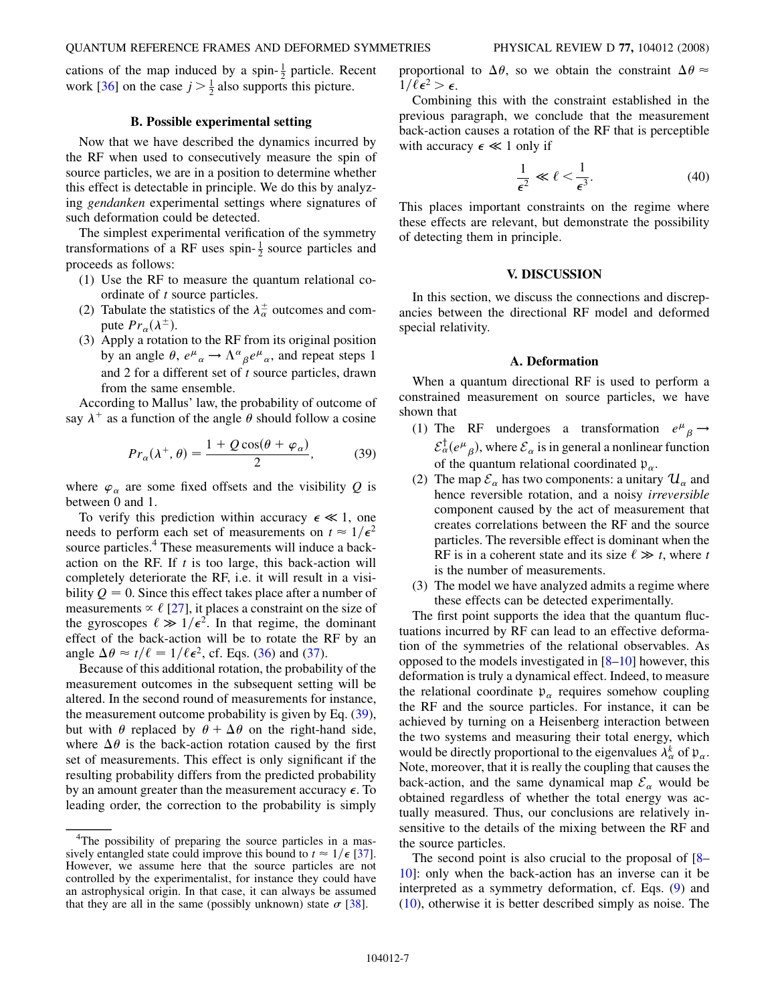cations of the map induced by a spin- $\frac{1}{2}$  particle. Recent work [[36](#page-10-0)] on the case  $j > \frac{1}{2}$  also supports this picture.

## B. Possible experimental setting

Now that we have described the dynamics incurred by the RF when used to consecutively measure the spin of source particles, we are in a position to determine whether this effect is detectable in principle. We do this by analyzing gendanken experimental settings where signatures of such deformation could be detected.

The simplest experimental verification of the symmetry transformations of a RF uses spin- $\frac{1}{2}$  source particles and proceeds as follows:

- (1) Use the RF to measure the quantum relational coordinate of t source particles.
- (2) Tabulate the statistics of the  $\lambda_{\alpha}^{\pm}$  outcomes and compute  $Pr_{\alpha}(\lambda^{\pm})$ .
- (3) Apply a rotation to the RF from its original position by an angle  $\theta$ ,  $e^{\mu}{}_{\alpha} \rightarrow \Lambda^{\alpha}{}_{\beta} e^{\mu}{}_{\alpha}$ , and repeat steps 1 and 2 for a different set of  $t$  source particles, drawn from the same ensemble.

According to Mallus' law, the probability of outcome of say  $\lambda^+$  as a function of the angle  $\theta$  should follow a cosine

$$
Pr_{\alpha}(\lambda^+, \theta) = \frac{1 + Q\cos(\theta + \varphi_{\alpha})}{2},\tag{39}
$$

where  $\varphi_{\alpha}$  are some fixed offsets and the visibility Q is between 0 and 1.

To verify this prediction within accuracy  $\epsilon \ll 1$ , one needs to perform each set of measurements on  $t \approx 1/\epsilon^2$ source particles.<sup>4</sup> These measurements will induce a backaction on the RF. If  $t$  is too large, this back-action will completely deteriorate the RF, i.e. it will result in a visibility  $Q = 0$ . Since this effect takes place after a number of measurements  $\propto \ell$  [\[27\]](#page-10-0), it places a constraint on the size of the gyroscopes  $\ell \gg 1/\epsilon^2$ . In that regime, the dominant effect of the back-action will be to rotate the RF by an effect of the back-action will be to rotate the RF by an angle  $\Delta \theta \approx t/\ell = 1/\ell \epsilon^2$ , cf. Eqs. ([36](#page-5-0)) and [\(37\)](#page-5-0).

Because of this additional rotation, the probability of the measurement outcomes in the subsequent setting will be altered. In the second round of measurements for instance, the measurement outcome probability is given by Eq. (39), but with  $\theta$  replaced by  $\theta + \Delta \theta$  on the right-hand side, where  $\Delta\theta$  is the back-action rotation caused by the first set of measurements. This effect is only significant if the resulting probability differs from the predicted probability by an amount greater than the measurement accuracy  $\epsilon$ . To leading order, the correction to the probability is simply proportional to  $\Delta\theta$ , so we obtain the constraint  $\Delta\theta \approx$  $1/\ell \epsilon^2 > \epsilon$ .

Combining this with the constraint established in the previous paragraph, we conclude that the measurement back-action causes a rotation of the RF that is perceptible with accuracy  $\epsilon \ll 1$  only if

$$
\frac{1}{\epsilon^2} \ll \ell < \frac{1}{\epsilon^3}.\tag{40}
$$

This places important constraints on the regime where these effects are relevant, but demonstrate the possibility of detecting them in principle.

#### V. DISCUSSION

In this section, we discuss the connections and discrepancies between the directional RF model and deformed special relativity.

## A. Deformation

When a quantum directional RF is used to perform a constrained measurement on source particles, we have shown that

- (1) The RF undergoes a transformation  $e^{\mu}{}_{\beta} \rightarrow$ <br>  $e^{\dagger}$  (*e*) where *S* is in concrete positions function  $\mathcal{E}_{\alpha}^{\dagger}(e^{\mu}_{\beta})$ , where  $\mathcal{E}_{\alpha}$  is in general a nonlinear function of the quantum relational coordinated  $p_{\alpha}$ .
- (2) The map  $\mathcal{E}_{\alpha}$  has two components: a unitary  $\mathcal{U}_{\alpha}$  and hence reversible rotation, and a noisy irreversible component caused by the act of measurement that creates correlations between the RF and the source particles. The reversible effect is dominant when the RF is in a coherent state and its size  $\ell \gg t$ , where the number of measurements is the number of measurements.
- (3) The model we have analyzed admits a regime where these effects can be detected experimentally.

The first point supports the idea that the quantum fluctuations incurred by RF can lead to an effective deformation of the symmetries of the relational observables. As opposed to the models investigated in [[8](#page-9-0)–10] however, this deformation is truly a dynamical effect. Indeed, to measure the relational coordinate  $p_{\alpha}$  requires somehow coupling the RF and the source particles. For instance, it can be achieved by turning on a Heisenberg interaction between the two systems and measuring their total energy, which would be directly proportional to the eigenvalues  $\lambda_{\alpha}^{k}$  of  $\mathfrak{p}_{\alpha}$ . Note, moreover, that it is really the coupling that causes the back-action, and the same dynamical map  $\mathcal{E}_{\alpha}$  would be obtained regardless of whether the total energy was actually measured. Thus, our conclusions are relatively insensitive to the details of the mixing between the RF and the source particles.

The second point is also crucial to the proposal of [[8–](#page-9-0) 10]: only when the back-action has an inverse can it be interpreted as a symmetry deformation, cf. Eqs. ([9](#page-2-0)) and [\(10\)](#page-2-0), otherwise it is better described simply as noise. The

<sup>&</sup>lt;sup>4</sup>The possibility of preparing the source particles in a massively entangled state could improve this bound to  $t \approx 1/\epsilon$  [\[37\]](#page-10-0). However, we assume here that the source particles are not controlled by the experimentalist, for instance they could have an astrophysical origin. In that case, it can always be assumed that they are all in the same (possibly unknown) state  $\sigma$  [[38](#page-10-0)].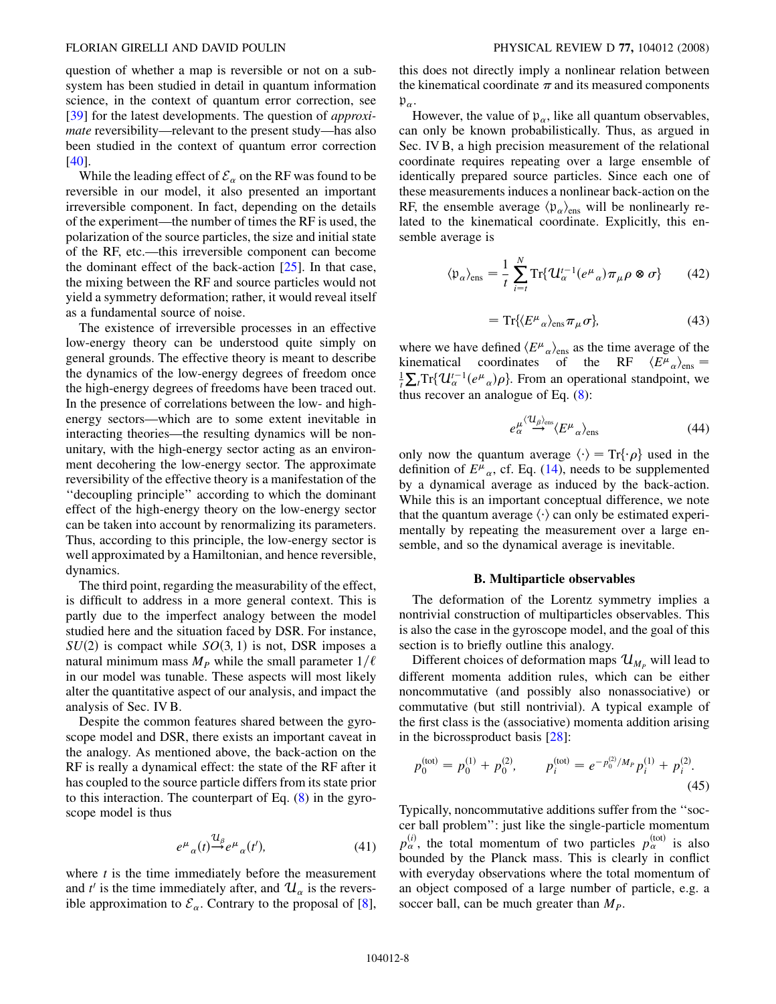## FLORIAN GIRELLI AND DAVID POULIN PHYSICAL REVIEW D 77, 104012 (2008)

question of whether a map is reversible or not on a subsystem has been studied in detail in quantum information science, in the context of quantum error correction, see [\[39\]](#page-10-0) for the latest developments. The question of *approxi*mate reversibility—relevant to the present study—has also been studied in the context of quantum error correction [\[40\]](#page-10-0).

While the leading effect of  $\mathcal{E}_{\alpha}$  on the RF was found to be reversible in our model, it also presented an important irreversible component. In fact, depending on the details of the experiment—the number of times the RF is used, the polarization of the source particles, the size and initial state of the RF, etc.—this irreversible component can become the dominant effect of the back-action  $[25]$ . In that case, the mixing between the RF and source particles would not yield a symmetry deformation; rather, it would reveal itself as a fundamental source of noise.

The existence of irreversible processes in an effective low-energy theory can be understood quite simply on general grounds. The effective theory is meant to describe the dynamics of the low-energy degrees of freedom once the high-energy degrees of freedoms have been traced out. In the presence of correlations between the low- and highenergy sectors—which are to some extent inevitable in interacting theories—the resulting dynamics will be nonunitary, with the high-energy sector acting as an environment decohering the low-energy sector. The approximate reversibility of the effective theory is a manifestation of the ''decoupling principle'' according to which the dominant effect of the high-energy theory on the low-energy sector can be taken into account by renormalizing its parameters. Thus, according to this principle, the low-energy sector is well approximated by a Hamiltonian, and hence reversible, dynamics.

The third point, regarding the measurability of the effect, is difficult to address in a more general context. This is partly due to the imperfect analogy between the model studied here and the situation faced by DSR. For instance,  $SU(2)$  is compact while  $SO(3, 1)$  is not, DSR imposes a natural minimum mass  $M_P$  while the small parameter  $1/\ell$ in our model was tunable. These aspects will most likely alter the quantitative aspect of our analysis, and impact the analysis of Sec. IV B.

Despite the common features shared between the gyroscope model and DSR, there exists an important caveat in the analogy. As mentioned above, the back-action on the RF is really a dynamical effect: the state of the RF after it has coupled to the source particle differs from its state prior to this interaction. The counterpart of Eq. [\(8\)](#page-2-0) in the gyroscope model is thus

$$
e^{\mu}{}_{\alpha}(t) \stackrel{\mathcal{U}_{\beta}}{\rightarrow} e^{\mu}{}_{\alpha}(t'),\tag{41}
$$

where  $t$  is the time immediately before the measurement and  $t'$  is the time immediately after, and  $\mathcal{U}_{\alpha}$  is the reversible approximation to  $\mathcal{E}_{\alpha}$ . Contrary to the proposal of [[8\]](#page-9-0),

this does not directly imply a nonlinear relation between the kinematical coordinate  $\pi$  and its measured components  $\mathfrak{p}_\alpha.$ 

However, the value of  $p_{\alpha}$ , like all quantum observables, can only be known probabilistically. Thus, as argued in Sec. IV B, a high precision measurement of the relational coordinate requires repeating over a large ensemble of identically prepared source particles. Since each one of these measurements induces a nonlinear back-action on the RF, the ensemble average  $\langle \mathfrak{p}_{\alpha} \rangle_{\text{ens}}$  will be nonlinearly related to the kinematical coordinate. Explicitly, this ensemble average is

$$
\langle \mathfrak{p}_{\alpha} \rangle_{\text{ens}} = \frac{1}{t} \sum_{i=t}^{N} \text{Tr} \{ \mathcal{U}_{\alpha}^{t-1} (e^{\mu}{}_{\alpha}) \pi_{\mu} \rho \otimes \sigma \} \qquad (42)
$$

$$
= \operatorname{Tr}\{ \langle E^{\mu}{}_{\alpha} \rangle_{\text{ens}} \pi_{\mu} \sigma \}, \tag{43}
$$

where we have defined  $\langle E^{\mu}{}_{\alpha} \rangle_{\text{ens}}$  as the time average of the kinematical coordinates of the RF  $\langle E^{\mu}{}_{\alpha} \rangle_{\text{ens}} =$  $\frac{1}{t} \sum_{t} \text{Tr} \{ \mathcal{U}_{\alpha}^{t-1} (e^{\mu}_{\alpha}) \rho \}$ . From an operational standpoint, we thus recover an analogue of Eq. (8). thus recover an analogue of Eq.  $(8)$  $(8)$ :

$$
e_{\alpha}^{\mu} \stackrel{\langle \mathcal{U}_{\beta} \rangle_{\text{ens}}}{\longrightarrow} \langle E^{\mu}{}_{\alpha} \rangle_{\text{ens}} \tag{44}
$$

only now the quantum average  $\langle \cdot \rangle = \text{Tr}\{\cdot \rho\}$  used in the definition of  $F^{\mu}$  of Eq. (14) needs to be supplemented definition of  $E^{\mu}{}_{\alpha}$ , cf. Eq. [\(14\)](#page-3-0), needs to be supplemented by a dynamical average as induced by the back-action. While this is an important conceptual difference, we note that the quantum average  $\langle \cdot \rangle$  can only be estimated experi-<br>mentally by repeating the measurement over a large enmentally by repeating the measurement over a large ensemble, and so the dynamical average is inevitable.

## B. Multiparticle observables

The deformation of the Lorentz symmetry implies a nontrivial construction of multiparticles observables. This is also the case in the gyroscope model, and the goal of this section is to briefly outline this analogy.

Different choices of deformation maps  $\mathcal{U}_{M_p}$  will lead to different momenta addition rules, which can be either noncommutative (and possibly also nonassociative) or commutative (but still nontrivial). A typical example of the first class is the (associative) momenta addition arising in the bicrossproduct basis [\[28\]](#page-10-0):

$$
p_0^{(\text{tot})} = p_0^{(1)} + p_0^{(2)}, \qquad p_i^{(\text{tot})} = e^{-p_0^{(2)}/M_P} p_i^{(1)} + p_i^{(2)}.
$$
\n(45)

Typically, noncommutative additions suffer from the ''soccer ball problem'': just like the single-particle momentum  $p_\alpha^{(i)}$ , the total momentum of two particles  $p_\alpha^{(\text{tot})}$  is also bounded by the Planck mass. This is clearly in conflict with everyday observations where the total momentum of an object composed of a large number of particle, e.g. a soccer ball, can be much greater than  $M_p$ .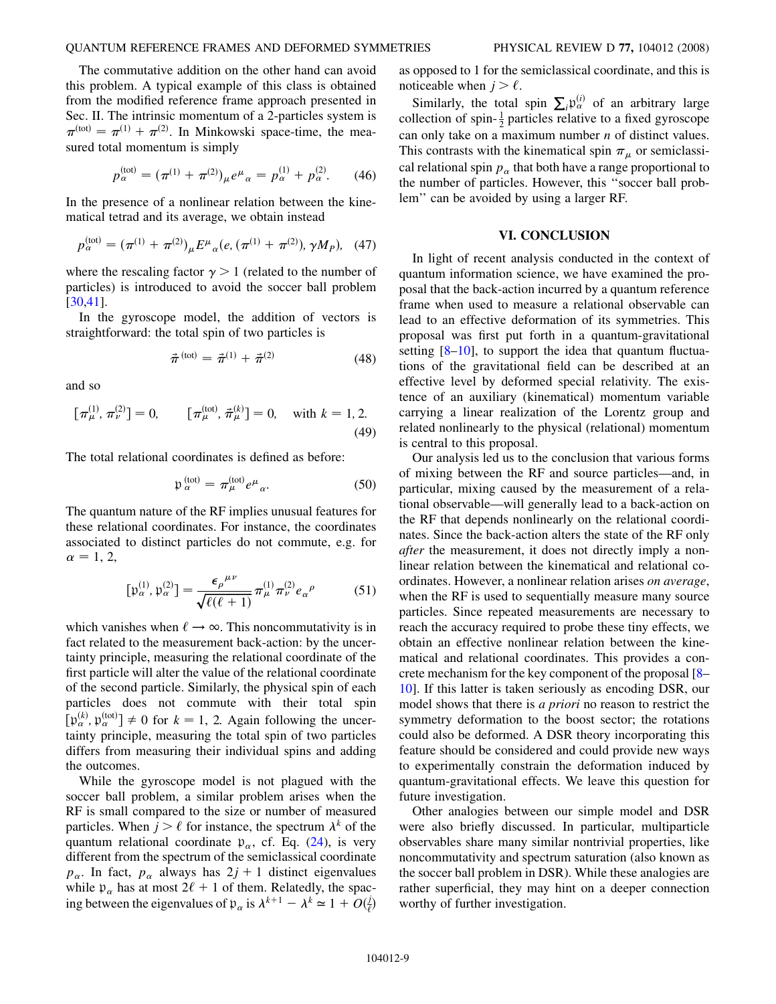## QUANTUM REFERENCE FRAMES AND DEFORMED SYMMETRIES PHYSICAL REVIEW D 77, 104012 (2008)

The commutative addition on the other hand can avoid this problem. A typical example of this class is obtained from the modified reference frame approach presented in Sec. II. The intrinsic momentum of a 2-particles system is  $\pi^{(\text{tot})} = \pi^{(1)} + \pi^{(2)}$ . In Minkowski space-time, the mea-<br>sured total momentum is simply sured total momentum is simply

$$
p_{\alpha}^{\text{(tot)}} = (\pi^{(1)} + \pi^{(2)})_{\mu} e^{\mu}{}_{\alpha} = p_{\alpha}^{(1)} + p_{\alpha}^{(2)}.
$$
 (46)

In the presence of a nonlinear relation between the kinematical tetrad and its average, we obtain instead

$$
p_{\alpha}^{(\text{tot})} = (\pi^{(1)} + \pi^{(2)})_{\mu} E^{\mu}{}_{\alpha}(e, (\pi^{(1)} + \pi^{(2)}), \gamma M_{P}), \quad (47)
$$

where the rescaling factor  $\gamma > 1$  (related to the number of particles) is introduced to avoid the soccer ball problem [\[30,41\]](#page-10-0).

In the gyroscope model, the addition of vectors is straightforward: the total spin of two particles is

$$
\vec{\pi}^{\text{(tot)}} = \vec{\pi}^{(1)} + \vec{\pi}^{(2)} \tag{48}
$$

and so

$$
\left[\pi_{\mu}^{(1)}, \pi_{\nu}^{(2)}\right] = 0, \qquad \left[\pi_{\mu}^{(\text{tot})}, \vec{\pi}_{\mu}^{(k)}\right] = 0, \quad \text{with } k = 1, 2.
$$
\n(49)

The total relational coordinates is defined as before:

$$
\mathfrak{p}_{\alpha}^{\text{(tot)}} = \pi_{\mu}^{\text{(tot)}} e^{\mu}{}_{\alpha}.
$$
 (50)

The quantum nature of the RF implies unusual features for these relational coordinates. For instance, the coordinates associated to distinct particles do not commute, e.g. for  $\alpha = 1, 2,$ 

$$
[\mathfrak{p}_{\alpha}^{(1)}, \mathfrak{p}_{\alpha}^{(2)}] = \frac{\epsilon_{\rho}^{\mu\nu}}{\sqrt{\ell(\ell+1)}} \pi_{\mu}^{(1)} \pi_{\nu}^{(2)} e_{\alpha}^{\rho} \tag{51}
$$

which vanishes when  $\ell \to \infty$ . This noncommutativity is in fact related to the measurement back-action: by the uncertainty principle, measuring the relational coordinate of the first particle will alter the value of the relational coordinate of the second particle. Similarly, the physical spin of each particles does not commute with their total spin  $[\mathfrak{p}_{\alpha}^{(k)}, \mathfrak{p}_{\alpha}^{(\text{tot})}] \neq 0$  for  $k = 1, 2$ . Again following the uncer-<br>tainty principle, measuring the total spin of two particles tainty principle, measuring the total spin of two particles differs from measuring their individual spins and adding the outcomes.

While the gyroscope model is not plagued with the soccer ball problem, a similar problem arises when the RF is small compared to the size or number of measured particles. When  $j \geq \ell$  for instance, the spectrum  $\lambda^k$  of the quantum relational coordinate  $p_{\alpha}$ , cf. Eq. [\(24](#page-4-0)), is very different from the spectrum of the semiclassical coordinate  $p_{\alpha}$ . In fact,  $p_{\alpha}$  always has  $2j + 1$  distinct eigenvalues while  $p_{\alpha}$  has at most  $2\ell + 1$  of them. Relatedly, the spacing between the eigenvalues of  $p_{\alpha}$  is  $\lambda^{k+1} - \lambda^k \simeq 1 + O(\frac{1}{\ell})$ 'Þ as opposed to 1 for the semiclassical coordinate, and this is noticeable when  $j > \ell$ .

Similarly, the total spin  $\sum_i p_\alpha^{(i)}$  of an arbitrary large collection of spin- $\frac{1}{2}$  particles relative to a fixed gyroscope can only take on a maximum number  $n$  of distinct values. This contrasts with the kinematical spin  $\pi_{\mu}$  or semiclassical relational spin  $p_{\alpha}$  that both have a range proportional to the number of particles. However, this ''soccer ball problem'' can be avoided by using a larger RF.

# VI. CONCLUSION

In light of recent analysis conducted in the context of quantum information science, we have examined the proposal that the back-action incurred by a quantum reference frame when used to measure a relational observable can lead to an effective deformation of its symmetries. This proposal was first put forth in a quantum-gravitational setting  $[8-10]$ , to support the idea that quantum fluctuations of the gravitational field can be described at an effective level by deformed special relativity. The existence of an auxiliary (kinematical) momentum variable carrying a linear realization of the Lorentz group and related nonlinearly to the physical (relational) momentum is central to this proposal.

Our analysis led us to the conclusion that various forms of mixing between the RF and source particles—and, in particular, mixing caused by the measurement of a relational observable—will generally lead to a back-action on the RF that depends nonlinearly on the relational coordinates. Since the back-action alters the state of the RF only after the measurement, it does not directly imply a nonlinear relation between the kinematical and relational coordinates. However, a nonlinear relation arises on average, when the RF is used to sequentially measure many source particles. Since repeated measurements are necessary to reach the accuracy required to probe these tiny effects, we obtain an effective nonlinear relation between the kinematical and relational coordinates. This provides a concrete mechanism for the key component of the proposal [[8–](#page-9-0) 10]. If this latter is taken seriously as encoding DSR, our model shows that there is a priori no reason to restrict the symmetry deformation to the boost sector; the rotations could also be deformed. A DSR theory incorporating this feature should be considered and could provide new ways to experimentally constrain the deformation induced by quantum-gravitational effects. We leave this question for future investigation.

Other analogies between our simple model and DSR were also briefly discussed. In particular, multiparticle observables share many similar nontrivial properties, like noncommutativity and spectrum saturation (also known as the soccer ball problem in DSR). While these analogies are rather superficial, they may hint on a deeper connection worthy of further investigation.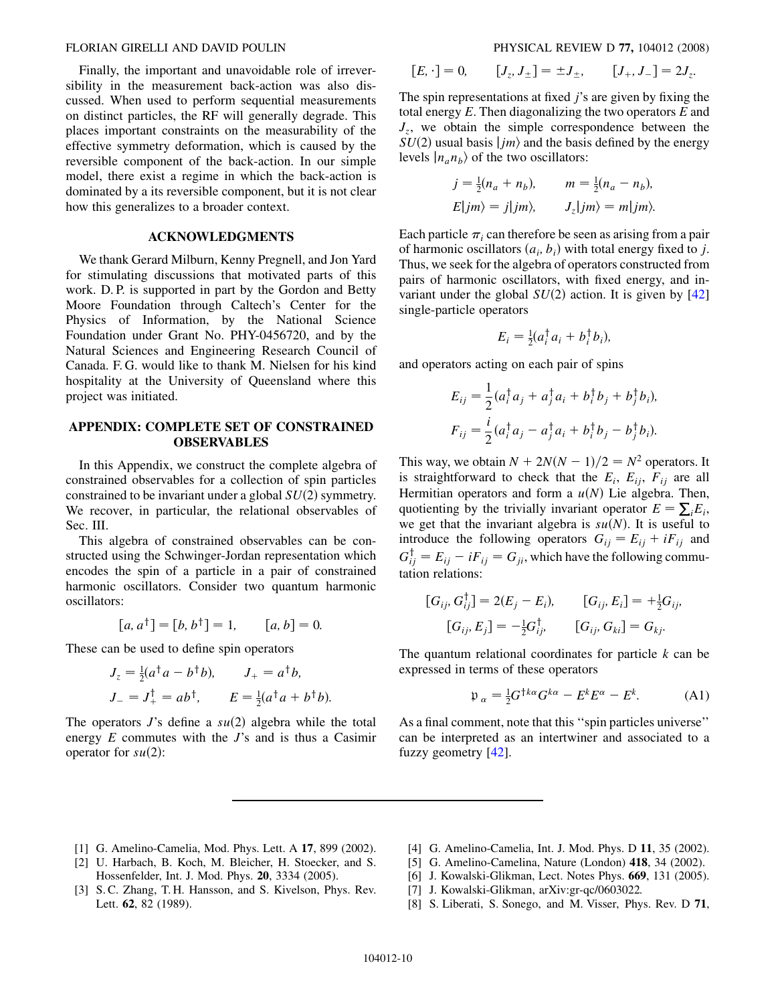<span id="page-9-0"></span>Finally, the important and unavoidable role of irreversibility in the measurement back-action was also discussed. When used to perform sequential measurements on distinct particles, the RF will generally degrade. This places important constraints on the measurability of the effective symmetry deformation, which is caused by the reversible component of the back-action. In our simple model, there exist a regime in which the back-action is dominated by a its reversible component, but it is not clear how this generalizes to a broader context.

## ACKNOWLEDGMENTS

We thank Gerard Milburn, Kenny Pregnell, and Jon Yard for stimulating discussions that motivated parts of this work. D. P. is supported in part by the Gordon and Betty Moore Foundation through Caltech's Center for the Physics of Information, by the National Science Foundation under Grant No. PHY-0456720, and by the Natural Sciences and Engineering Research Council of Canada. F. G. would like to thank M. Nielsen for his kind hospitality at the University of Queensland where this project was initiated.

# APPENDIX: COMPLETE SET OF CONSTRAINED OBSERVABLES

In this Appendix, we construct the complete algebra of constrained observables for a collection of spin particles constrained to be invariant under a global  $SU(2)$  symmetry. We recover, in particular, the relational observables of Sec. III.

This algebra of constrained observables can be constructed using the Schwinger-Jordan representation which encodes the spin of a particle in a pair of constrained harmonic oscillators. Consider two quantum harmonic oscillators:

$$
[a, a†] = [b, b†] = 1, \qquad [a, b] = 0.
$$

These can be used to define spin operators

$$
J_z = \frac{1}{2}(a^{\dagger}a - b^{\dagger}b), \qquad J_+ = a^{\dagger}b,
$$
  

$$
J_- = J_+^{\dagger} = ab^{\dagger}, \qquad E = \frac{1}{2}(a^{\dagger}a + b^{\dagger}b).
$$

The operators  $J$ 's define a  $su(2)$  algebra while the total energy  $E$  commutes with the  $J$ 's and is thus a Casimir operator for  $su(2)$ :

$$
[E, \cdot] = 0, \qquad [J_z, J_{\pm}] = \pm J_{\pm}, \qquad [J_+, J_-] = 2J_z.
$$

The spin representations at fixed  $j$ 's are given by fixing the total energy  $E$ . Then diagonalizing the two operators  $E$  and  $J_z$ , we obtain the simple correspondence between the  $SU(2)$  usual basis  $\vert jm \rangle$  and the basis defined by the energy levels  $|n_a n_b\rangle$  of the two oscillators:

$$
j = \frac{1}{2}(n_a + n_b), \qquad m = \frac{1}{2}(n_a - n_b),
$$
  

$$
E|jm\rangle = j|jm\rangle, \qquad J_z|jm\rangle = m|jm\rangle.
$$

Each particle  $\pi_i$  can therefore be seen as arising from a pair of harmonic oscillators  $(a_i, b_i)$  with total energy fixed to j. Thus, we seek for the algebra of operators constructed from pairs of harmonic oscillators, with fixed energy, and invariant under the global  $SU(2)$  action. It is given by [\[42\]](#page-10-0) single-particle operators

$$
E_i = \frac{1}{2}(a_i^\dagger a_i + b_i^\dagger b_i),
$$

and operators acting on each pair of spins

$$
E_{ij} = \frac{1}{2} (a_i^{\dagger} a_j + a_j^{\dagger} a_i + b_i^{\dagger} b_j + b_j^{\dagger} b_i),
$$
  

$$
F_{ij} = \frac{i}{2} (a_i^{\dagger} a_j - a_j^{\dagger} a_i + b_i^{\dagger} b_j - b_j^{\dagger} b_i).
$$

This way, we obtain  $N + 2N(N - 1)/2 = N^2$  operators. It is straightforward to check that the  $E_i$ ,  $E_{ij}$ ,  $F_{ij}$  are all Hermitian operators and form a  $u(N)$  Lie algebra. Then, quotienting by the trivially invariant operator  $E = \sum_i E_i$ ,<br>we get that the invariant algebra is  $su(N)$ . It is useful to we get that the invariant algebra is  $su(N)$ . It is useful to introduce the following operators  $G_{ij} = E_{ij} + iF_{ij}$  and  $G_{ij}^{\dagger} = E_{ij} - iF_{ij} = G_{ji}$ , which have the following commutation relations:

$$
[G_{ij}, G_{ij}^{\dagger}] = 2(E_j - E_i), \t [G_{ij}, E_i] = +\frac{1}{2}G_{ij},
$$
  

$$
[G_{ij}, E_j] = -\frac{1}{2}G_{ij}^{\dagger}, \t [G_{ij}, G_{ki}] = G_{kj}.
$$

The quantum relational coordinates for particle  $k$  can be expressed in terms of these operators

$$
\mathfrak{p}_{\alpha} = \frac{1}{2} G^{\dagger k \alpha} G^{k \alpha} - E^k E^{\alpha} - E^k. \tag{A1}
$$

As a final comment, note that this ''spin particles universe'' can be interpreted as an intertwiner and associated to a fuzzy geometry [\[42\]](#page-10-0).

- [1] G. Amelino-Camelia, Mod. Phys. Lett. A 17, 899 (2002).
- [2] U. Harbach, B. Koch, M. Bleicher, H. Stoecker, and S. Hossenfelder, Int. J. Mod. Phys. 20, 3334 (2005).
- [3] S. C. Zhang, T. H. Hansson, and S. Kivelson, Phys. Rev. Lett. 62, 82 (1989).
- [4] G. Amelino-Camelia, Int. J. Mod. Phys. D 11, 35 (2002).
- [5] G. Amelino-Camelina, Nature (London) 418, 34 (2002).
- [6] J. Kowalski-Glikman, Lect. Notes Phys. **669**, 131 (2005).
- [7] J. Kowalski-Glikman, arXiv:gr-qc/0603022.
- [8] S. Liberati, S. Sonego, and M. Visser, Phys. Rev. D 71,